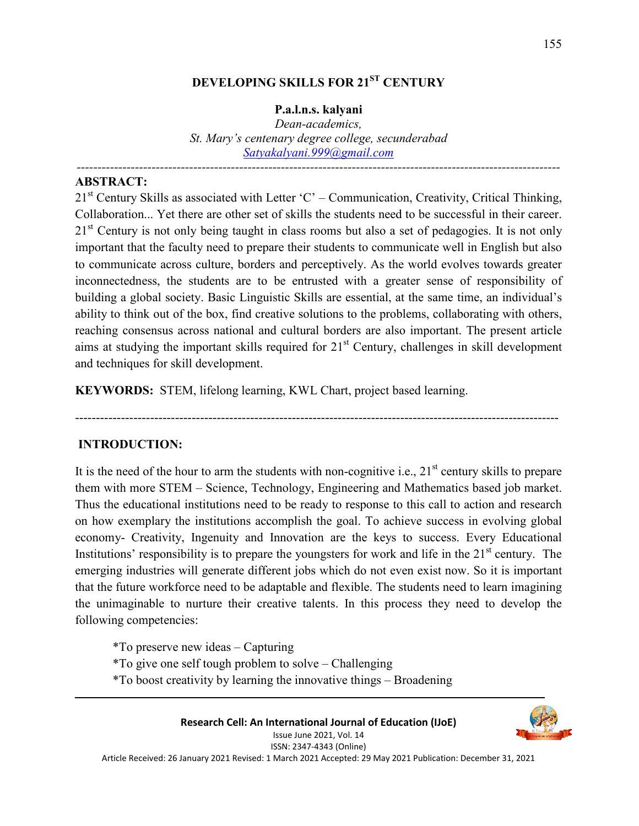# **DEVELOPING SKILLS FOR 21ST CENTURY**

#### **P.a.l.n.s. kalyani**

*Dean-academics, St. Mary's centenary degree college, secunderabad Satyakalyani.999@gmail.com*

*--------------------------------------------------------------------------------------------------------------------* 

#### **ABSTRACT:**

 $21<sup>st</sup>$  Century Skills as associated with Letter 'C' – Communication, Creativity, Critical Thinking, Collaboration... Yet there are other set of skills the students need to be successful in their career. 21<sup>st</sup> Century is not only being taught in class rooms but also a set of pedagogies. It is not only important that the faculty need to prepare their students to communicate well in English but also to communicate across culture, borders and perceptively. As the world evolves towards greater inconnectedness, the students are to be entrusted with a greater sense of responsibility of building a global society. Basic Linguistic Skills are essential, at the same time, an individual's ability to think out of the box, find creative solutions to the problems, collaborating with others, reaching consensus across national and cultural borders are also important. The present article aims at studying the important skills required for  $21<sup>st</sup>$  Century, challenges in skill development and techniques for skill development.

**KEYWORDS:** STEM, lifelong learning, KWL Chart, project based learning.

#### **INTRODUCTION:**

It is the need of the hour to arm the students with non-cognitive i.e.,  $21<sup>st</sup>$  century skills to prepare them with more STEM – Science, Technology, Engineering and Mathematics based job market. Thus the educational institutions need to be ready to response to this call to action and research on how exemplary the institutions accomplish the goal. To achieve success in evolving global economy- Creativity, Ingenuity and Innovation are the keys to success. Every Educational Institutions' responsibility is to prepare the youngsters for work and life in the  $21<sup>st</sup>$  century. The emerging industries will generate different jobs which do not even exist now. So it is important that the future workforce need to be adaptable and flexible. The students need to learn imagining the unimaginable to nurture their creative talents. In this process they need to develop the following competencies:

--------------------------------------------------------------------------------------------------------------------

- \*To preserve new ideas Capturing
- \*To give one self tough problem to solve Challenging
- \*To boost creativity by learning the innovative things Broadening

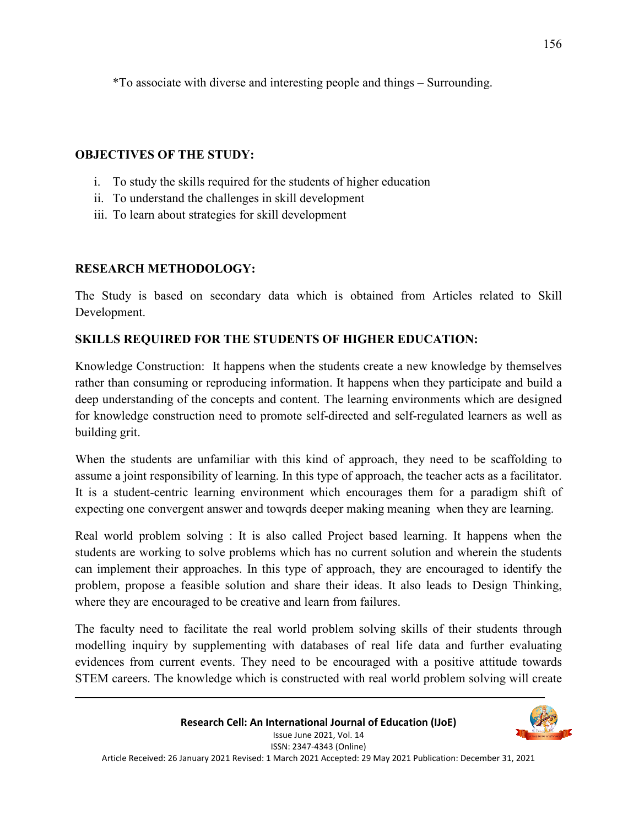\*To associate with diverse and interesting people and things – Surrounding.

## **OBJECTIVES OF THE STUDY:**

- i. To study the skills required for the students of higher education
- ii. To understand the challenges in skill development
- iii. To learn about strategies for skill development

## **RESEARCH METHODOLOGY:**

The Study is based on secondary data which is obtained from Articles related to Skill Development.

# **SKILLS REQUIRED FOR THE STUDENTS OF HIGHER EDUCATION:**

Knowledge Construction: It happens when the students create a new knowledge by themselves rather than consuming or reproducing information. It happens when they participate and build a deep understanding of the concepts and content. The learning environments which are designed for knowledge construction need to promote self-directed and self-regulated learners as well as building grit.

When the students are unfamiliar with this kind of approach, they need to be scaffolding to assume a joint responsibility of learning. In this type of approach, the teacher acts as a facilitator. It is a student-centric learning environment which encourages them for a paradigm shift of expecting one convergent answer and towqrds deeper making meaning when they are learning.

Real world problem solving : It is also called Project based learning. It happens when the students are working to solve problems which has no current solution and wherein the students can implement their approaches. In this type of approach, they are encouraged to identify the problem, propose a feasible solution and share their ideas. It also leads to Design Thinking, where they are encouraged to be creative and learn from failures.

The faculty need to facilitate the real world problem solving skills of their students through modelling inquiry by supplementing with databases of real life data and further evaluating evidences from current events. They need to be encouraged with a positive attitude towards STEM careers. The knowledge which is constructed with real world problem solving will create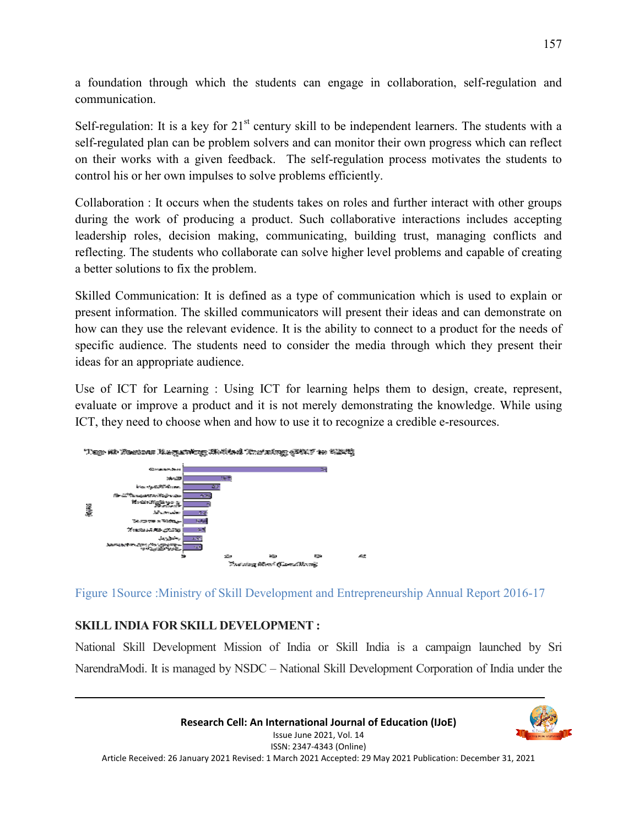a foundation through which the students can engage in collaboration, self-regulation and communication.

Self-regulation: It is a key for  $21<sup>st</sup>$  century skill to be independent learners. The students with a self-regulated plan can be problem solvers and can monitor their own progress which can reflect on their works with a given feedback. The self-regulation process motivates the students to control his or her own impulses to solve problems efficiently.

Collaboration : It occurs when the students takes on roles and further interact with other groups during the work of producing a product. Such collaborative interactions includes accepting leadership roles, decision making, communicating, building trust, managing conflicts and reflecting. The students who collaborate can solve higher level problems and capable of creating a better solutions to fix the problem.

Skilled Communication: It is defined as a type of communication which is used to explain or present information. The skilled communicators will present their ideas and can demonstrate on how can they use the relevant evidence. It is the ability to connect to a product for the needs of specific audience. The students need to consider the media through which they present their ideas for an appropriate audience.

Use of ICT for Learning : Using ICT for learning helps them to design, create, represent, evaluate or improve a product and it is not merely demonstrating the knowledge. While using ICT, they need to choose when and how to use it to recognize a credible e-resources.



Figure 1Source :Ministry of Skill Development and Entrepreneurship Annual Report 2016-17

# **SKILL INDIA FOR SKILL DEVELOPMENT :**

National Skill Development Mission of India or Skill India is a campaign launched by Sri NarendraModi. It is managed by NSDC – National Skill Development Corporation of India under the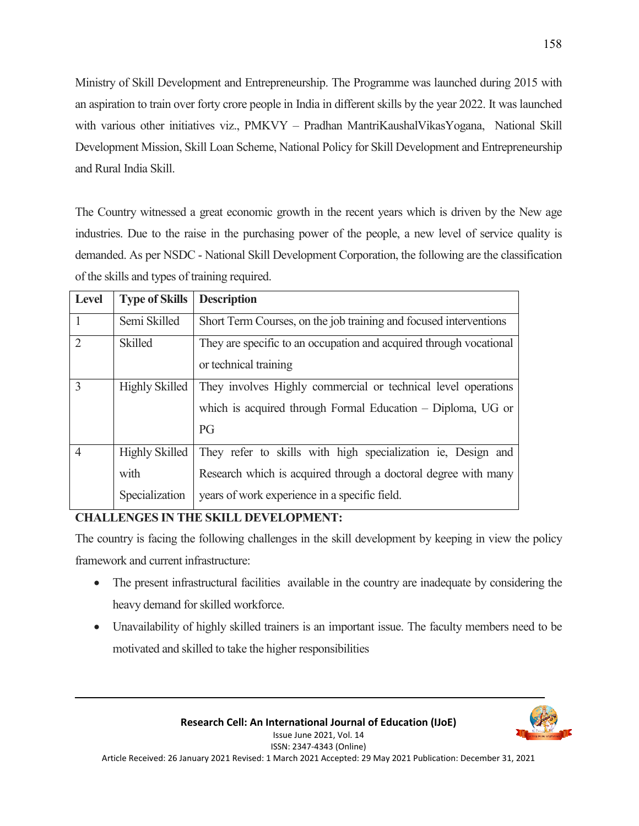Ministry of Skill Development and Entrepreneurship. The Programme was launched during 2015 with an aspiration to train over forty crore people in India in different skills by the year 2022. It was launched with various other initiatives viz., PMKVY - Pradhan MantriKaushalVikasYogana, National Skill Development Mission, Skill Loan Scheme, National Policy for Skill Development and Entrepreneurship and Rural India Skill.

The Country witnessed a great economic growth in the recent years which is driven by the New age industries. Due to the raise in the purchasing power of the people, a new level of service quality is demanded. As per NSDC - National Skill Development Corporation, the following are the classification of the skills and types of training required.

| <b>Level</b>   | <b>Type of Skills</b>                           | <b>Description</b>                                                                                                                                                              |
|----------------|-------------------------------------------------|---------------------------------------------------------------------------------------------------------------------------------------------------------------------------------|
| $\overline{1}$ | Semi Skilled                                    | Short Term Courses, on the job training and focused interventions                                                                                                               |
| $\overline{2}$ | <b>Skilled</b>                                  | They are specific to an occupation and acquired through vocational<br>or technical training                                                                                     |
| 3              | <b>Highly Skilled</b>                           | They involves Highly commercial or technical level operations<br>which is acquired through Formal Education – Diploma, UG or<br>PG                                              |
| $\overline{4}$ | <b>Highly Skilled</b><br>with<br>Specialization | They refer to skills with high specialization ie, Design and<br>Research which is acquired through a doctoral degree with many<br>years of work experience in a specific field. |

### **CHALLENGES IN THE SKILL DEVELOPMENT:**

The country is facing the following challenges in the skill development by keeping in view the policy framework and current infrastructure:

- The present infrastructural facilities available in the country are inadequate by considering the heavy demand for skilled workforce.
- Unavailability of highly skilled trainers is an important issue. The faculty members need to be motivated and skilled to take the higher responsibilities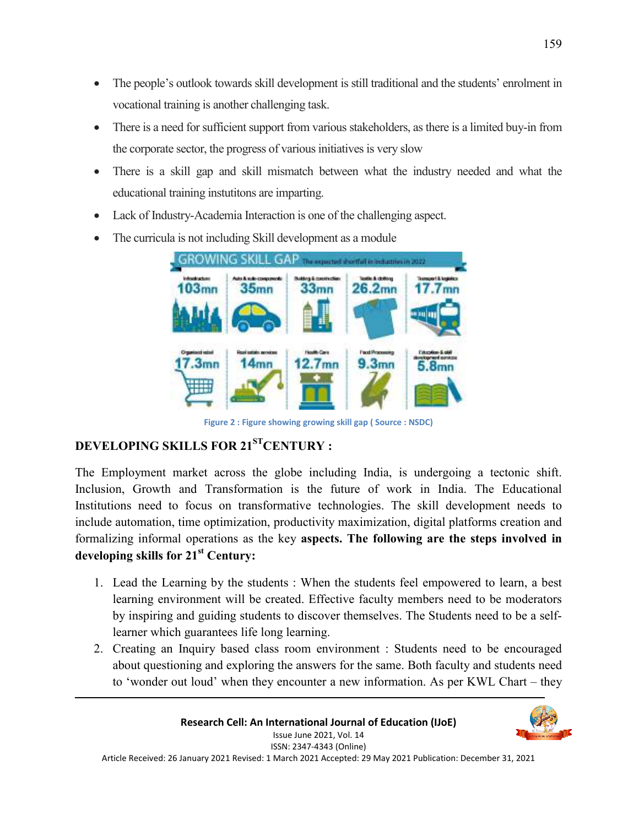- The people's outlook towards skill development is still traditional and the students' enrolment in vocational training is another challenging task.
- There is a need for sufficient support from various stakeholders, as there is a limited buy-in from the corporate sector, the progress of various initiatives is very slow
- There is a skill gap and skill mismatch between what the industry needed and what the educational training instutitons are imparting.
- Lack of Industry-Academia Interaction is one of the challenging aspect.
- The curricula is not including Skill development as a module



**Figure 2 : Figure showing growing skill gap ( Source : NSDC)**

## **DEVELOPING SKILLS FOR 21STCENTURY :**

The Employment market across the globe including India, is undergoing a tectonic shift. Inclusion, Growth and Transformation is the future of work in India. The Educational Institutions need to focus on transformative technologies. The skill development needs to include automation, time optimization, productivity maximization, digital platforms creation and formalizing informal operations as the key **aspects. The following are the steps involved in developing skills for 21st Century:** 

- 1. Lead the Learning by the students : When the students feel empowered to learn, a best learning environment will be created. Effective faculty members need to be moderators by inspiring and guiding students to discover themselves. The Students need to be a selflearner which guarantees life long learning.
- 2. Creating an Inquiry based class room environment : Students need to be encouraged about questioning and exploring the answers for the same. Both faculty and students need to 'wonder out loud' when they encounter a new information. As per KWL Chart – they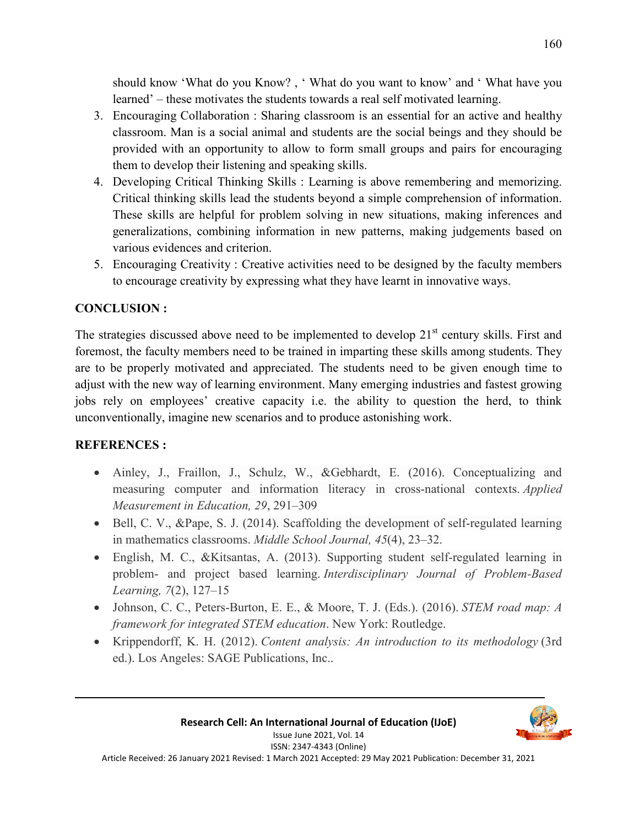should know 'What do you Know? , ' What do you want to know' and ' What have you learned' – these motivates the students towards a real self motivated learning.

- 3. Encouraging Collaboration : Sharing classroom is an essential for an active and healthy classroom. Man is a social animal and students are the social beings and they should be provided with an opportunity to allow to form small groups and pairs for encouraging them to develop their listening and speaking skills.
- 4. Developing Critical Thinking Skills : Learning is above remembering and memorizing. Critical thinking skills lead the students beyond a simple comprehension of information. These skills are helpful for problem solving in new situations, making inferences and generalizations, combining information in new patterns, making judgements based on various evidences and criterion.
- 5. Encouraging Creativity : Creative activities need to be designed by the faculty members to encourage creativity by expressing what they have learnt in innovative ways.

## **CONCLUSION :**

The strategies discussed above need to be implemented to develop  $21<sup>st</sup>$  century skills. First and foremost, the faculty members need to be trained in imparting these skills among students. They are to be properly motivated and appreciated. The students need to be given enough time to adjust with the new way of learning environment. Many emerging industries and fastest growing jobs rely on employees' creative capacity i.e. the ability to question the herd, to think unconventionally, imagine new scenarios and to produce astonishing work.

### **REFERENCES :**

- Ainley, J., Fraillon, J., Schulz, W., &Gebhardt, E. (2016). Conceptualizing and measuring computer and information literacy in cross-national contexts. *Applied Measurement in Education, 29*, 291–309
- $\bullet$  Bell, C. V., &Pape, S. J. (2014). Scaffolding the development of self-regulated learning in mathematics classrooms. *Middle School Journal, 45*(4), 23–32.
- English, M. C., &Kitsantas, A. (2013). Supporting student self-regulated learning in problem- and project based learning. *Interdisciplinary Journal of Problem-Based Learning, 7*(2), 127–15
- Johnson, C. C., Peters-Burton, E. E., & Moore, T. J. (Eds.). (2016). *STEM road map: A framework for integrated STEM education*. New York: Routledge.
- Krippendorff, K. H. (2012). *Content analysis: An introduction to its methodology* (3rd ed.). Los Angeles: SAGE Publications, Inc..